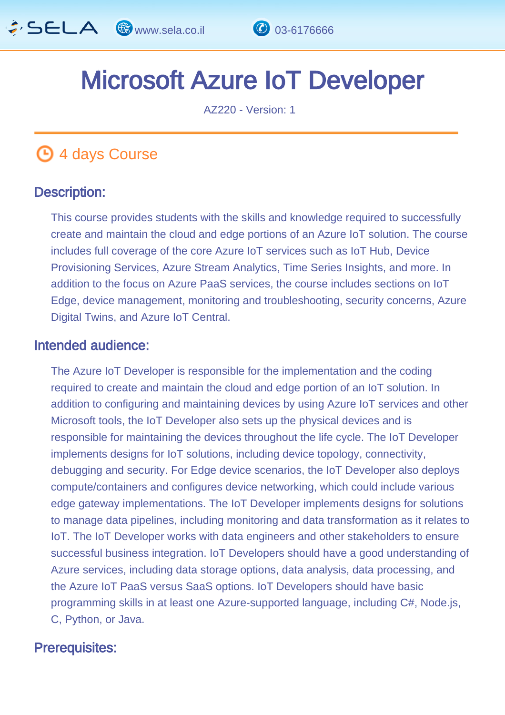

# Microsoft Azure IoT Developer  $\frac{1}{\sqrt{2}}$

AZ220 - Version: 1

# **4 days Course**

#### Description: Ī

This course provides students with the skills and knowledge required to successfully create and maintain the cloud and edge portions of an Azure IoT solution. The course includes full coverage of the core Azure IoT services such as IoT Hub, Device Provisioning Services, Azure Stream Analytics, Time Series Insights, and more. In addition to the focus on Azure PaaS services, the course includes sections on IoT Edge, device management, monitoring and troubleshooting, security concerns, Azure Digital Twins, and Azure IoT Central.

#### Intended audience: Ï

The Azure IoT Developer is responsible for the implementation and the coding required to create and maintain the cloud and edge portion of an IoT solution. In addition to configuring and maintaining devices by using Azure IoT services and other Microsoft tools, the IoT Developer also sets up the physical devices and is responsible for maintaining the devices throughout the life cycle. The IoT Developer implements designs for IoT solutions, including device topology, connectivity, debugging and security. For Edge device scenarios, the IoT Developer also deploys compute/containers and configures device networking, which could include various edge gateway implementations. The IoT Developer implements designs for solutions to manage data pipelines, including monitoring and data transformation as it relates to IoT. The IoT Developer works with data engineers and other stakeholders to ensure successful business integration. IoT Developers should have a good understanding of Azure services, including data storage options, data analysis, data processing, and the Azure IoT PaaS versus SaaS options. IoT Developers should have basic programming skills in at least one Azure-supported language, including C#, Node.js, C, Python, or Java.

# Prerequisites: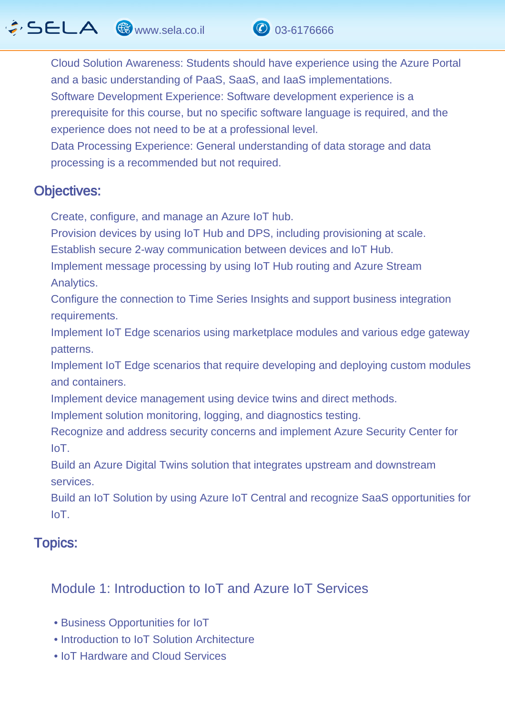

Data Processing Experience: General understanding of data storage and data processing is a recommended but not required.

#### Objectives: Ĭ

Create, configure, and manage an Azure IoT hub.

Provision devices by using IoT Hub and DPS, including provisioning at scale.

Establish secure 2-way communication between devices and IoT Hub.

Implement message processing by using IoT Hub routing and Azure Stream Analytics.

Configure the connection to Time Series Insights and support business integration requirements.

Implement IoT Edge scenarios using marketplace modules and various edge gateway patterns.

Implement IoT Edge scenarios that require developing and deploying custom modules and containers.

Implement device management using device twins and direct methods.

Implement solution monitoring, logging, and diagnostics testing.

Recognize and address security concerns and implement Azure Security Center for IoT.

Build an Azure Digital Twins solution that integrates upstream and downstream services.

Build an IoT Solution by using Azure IoT Central and recognize SaaS opportunities for IoT.

#### Topics: J.

# Module 1: Introduction to IoT and Azure IoT Services

- Business Opportunities for IoT
- Introduction to IoT Solution Architecture
- IoT Hardware and Cloud Services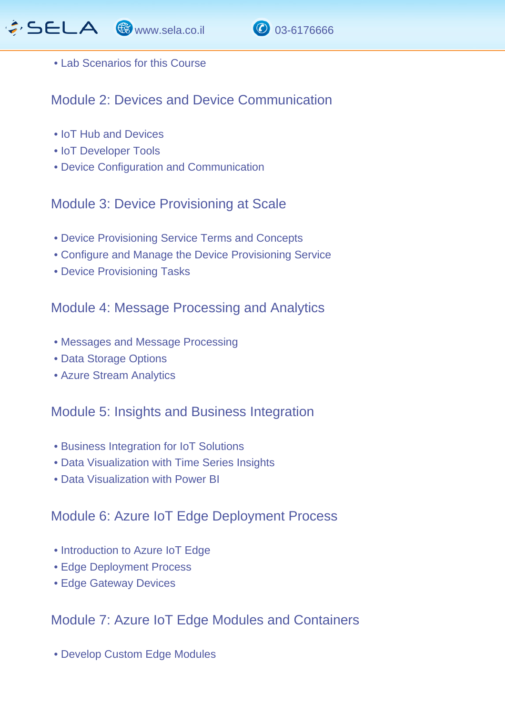



#### • Lab Scenarios for this Course

Module 2: Devices and Device Communication

- IoT Hub and Devices
- IoT Developer Tools
- Device Configuration and Communication

## Module 3: Device Provisioning at Scale

- Device Provisioning Service Terms and Concepts
- Configure and Manage the Device Provisioning Service
- Device Provisioning Tasks

## Module 4: Message Processing and Analytics

- Messages and Message Processing
- Data Storage Options
- Azure Stream Analytics

#### Module 5: Insights and Business Integration

- Business Integration for IoT Solutions
- Data Visualization with Time Series Insights
- Data Visualization with Power BI

## Module 6: Azure IoT Edge Deployment Process

- Introduction to Azure IoT Edge
- Edge Deployment Process
- Edge Gateway Devices

## Module 7: Azure IoT Edge Modules and Containers

• Develop Custom Edge Modules